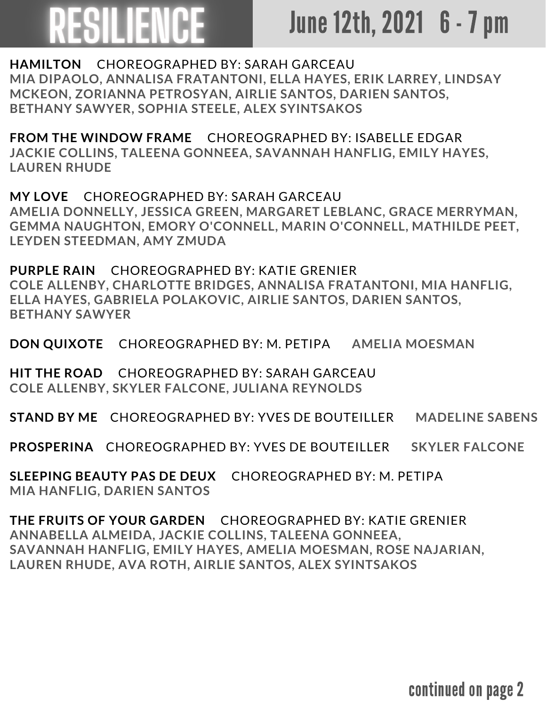## June 12th, 2021 6 - 7 pm

**HAMILTON** CHOREOGRAPHED BY: SARAH GARCEAU **MIA DIPAOLO, ANNALISA FRATANTONI, ELLA HAYES, ERIK LARREY, LINDSAY MCKEON, ZORIANNA PETROSYAN, AIRLIE SANTOS, DARIEN SANTOS, BETHANY SAWYER, SOPHIA STEELE, ALEX SYINTSAKOS**

**FROM THE WINDOW FRAME** CHOREOGRAPHED BY: ISABELLE EDGAR **JACKIE COLLINS, TALEENA GONNEEA, SAVANNAH HANFLIG, EMILY HAYES, LAUREN RHUDE**

**MY LOVE** CHOREOGRAPHED BY: SARAH GARCEAU **AMELIA DONNELLY, JESSICA GREEN, MARGARET LEBLANC, GRACE MERRYMAN, GEMMA NAUGHTON, EMORY O'CONNELL, MARIN O'CONNELL, MATHILDE PEET, LEYDEN STEEDMAN, AMY ZMUDA**

**PURPLE RAIN** CHOREOGRAPHED BY: KATIE GRENIER **COLE ALLENBY, CHARLOTTE BRIDGES, ANNALISA FRATANTONI, MIA HANFLIG, ELLA HAYES, GABRIELA POLAKOVIC, AIRLIE SANTOS, DARIEN SANTOS, BETHANY SAWYER**

**DON QUIXOTE** CHOREOGRAPHED BY: M. PETIPA **AMELIA MOESMAN**

**HIT THE ROAD** CHOREOGRAPHED BY: SARAH GARCEAU **COLE ALLENBY, SKYLER FALCONE, JULIANA REYNOLDS**

**STAND BY ME** CHOREOGRAPHED BY: YVES DE BOUTEILLER **MADELINE SABENS**

**PROSPERINA** CHOREOGRAPHED BY: YVES DE BOUTEILLER **SKYLER FALCONE**

**SLEEPING BEAUTY PAS DE DEUX** CHOREOGRAPHED BY: M. PETIPA **MIA HANFLIG, DARIEN SANTOS**

**THE FRUITS OF YOUR GARDEN** CHOREOGRAPHED BY: KATIE GRENIER **ANNABELLA ALMEIDA, JACKIE COLLINS, TALEENA GONNEEA, SAVANNAH HANFLIG, EMILY HAYES, AMELIA MOESMAN, ROSE NAJARIAN, LAUREN RHUDE, AVA ROTH, AIRLIE SANTOS, ALEX SYINTSAKOS**

continued on page 2